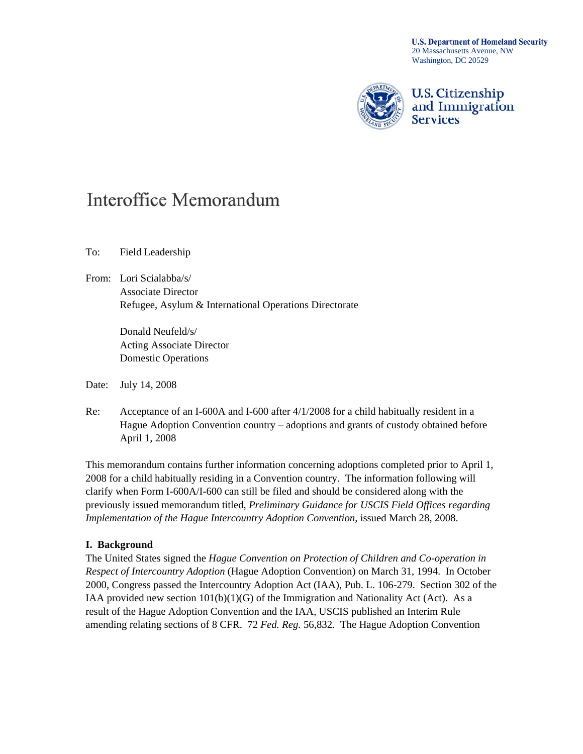**U.S. Department of Homeland Security** 20 Massachusetts Avenue, NW Washington, DC 20529



**U.S. Citizenship** and Immigration **Services** 

# Interoffice Memorandum

To: Field Leadership

From: Lori Scialabba/s/ Associate Director Refugee, Asylum & International Operations Directorate

> Donald Neufeld/s/ Acting Associate Director Domestic Operations

Date: July 14, 2008

Re: Acceptance of an I-600A and I-600 after 4/1/2008 for a child habitually resident in a Hague Adoption Convention country – adoptions and grants of custody obtained before April 1, 2008

This memorandum contains further information concerning adoptions completed prior to April 1, 2008 for a child habitually residing in a Convention country. The information following will clarify when Form I-600A/I-600 can still be filed and should be considered along with the previously issued memorandum titled, *Preliminary Guidance for USCIS Field Offices regarding Implementation of the Hague Intercountry Adoption Convention*, issued March 28, 2008.

#### **I. Background**

The United States signed the *Hague Convention on Protection of Children and Co-operation in Respect of Intercountry Adoption* (Hague Adoption Convention) on March 31, 1994. In October 2000, Congress passed the Intercountry Adoption Act (IAA), Pub. L. 106-279. Section 302 of the IAA provided new section  $101(b)(1)(G)$  of the Immigration and Nationality Act (Act). As a result of the Hague Adoption Convention and the IAA, USCIS published an Interim Rule amending relating sections of 8 CFR. 72 *Fed. Reg.* 56,832. The Hague Adoption Convention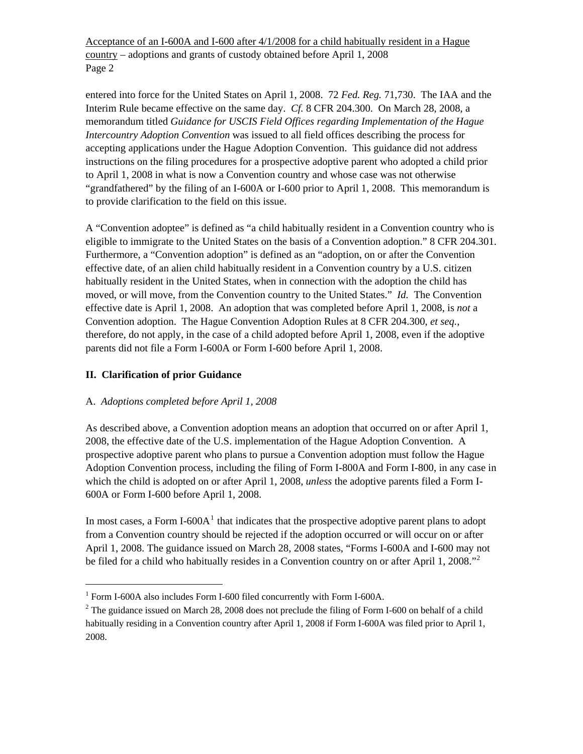Acceptance of an I-600A and I-600 after 4/1/2008 for a child habitually resident in a Hague country – adoptions and grants of custody obtained before April 1, 2008 Page 2

entered into force for the United States on April 1, 2008. 72 *Fed. Reg.* 71,730. The IAA and the Interim Rule became effective on the same day. *Cf.* 8 CFR 204.300. On March 28, 2008, a memorandum titled *Guidance for USCIS Field Offices regarding Implementation of the Hague Intercountry Adoption Convention* was issued to all field offices describing the process for accepting applications under the Hague Adoption Convention. This guidance did not address instructions on the filing procedures for a prospective adoptive parent who adopted a child prior to April 1, 2008 in what is now a Convention country and whose case was not otherwise "grandfathered" by the filing of an I-600A or I-600 prior to April 1, 2008. This memorandum is to provide clarification to the field on this issue.

A "Convention adoptee" is defined as "a child habitually resident in a Convention country who is eligible to immigrate to the United States on the basis of a Convention adoption." 8 CFR 204.301. Furthermore, a "Convention adoption" is defined as an "adoption, on or after the Convention effective date, of an alien child habitually resident in a Convention country by a U.S. citizen habitually resident in the United States, when in connection with the adoption the child has moved, or will move, from the Convention country to the United States." *Id.* The Convention effective date is April 1, 2008. An adoption that was completed before April 1, 2008, is *not* a Convention adoption. The Hague Convention Adoption Rules at 8 CFR 204.300, *et seq.*, therefore, do not apply, in the case of a child adopted before April 1, 2008, even if the adoptive parents did not file a Form I-600A or Form I-600 before April 1, 2008.

## **II. Clarification of prior Guidance**

1

### A. *Adoptions completed before April 1, 2008*

As described above, a Convention adoption means an adoption that occurred on or after April 1, 2008, the effective date of the U.S. implementation of the Hague Adoption Convention. A prospective adoptive parent who plans to pursue a Convention adoption must follow the Hague Adoption Convention process, including the filing of Form I-800A and Form I-800, in any case in which the child is adopted on or after April 1, 2008, *unless* the adoptive parents filed a Form I-600A or Form I-600 before April 1, 2008.

In most cases, a Form I-600 $A<sup>1</sup>$  $A<sup>1</sup>$  $A<sup>1</sup>$  that indicates that the prospective adoptive parent plans to adopt from a Convention country should be rejected if the adoption occurred or will occur on or after April 1, 2008. The guidance issued on March 28, 2008 states, "Forms I-600A and I-600 may not be filed for a child who habitually resides in a Convention country on or after April 1, [2](#page-1-1)008."<sup>2</sup>

<span id="page-1-0"></span><sup>&</sup>lt;sup>1</sup> Form I-600A also includes Form I-600 filed concurrently with Form I-600A.

<span id="page-1-1"></span><sup>&</sup>lt;sup>2</sup> The guidance issued on March 28, 2008 does not preclude the filing of Form I-600 on behalf of a child habitually residing in a Convention country after April 1, 2008 if Form I-600A was filed prior to April 1, 2008.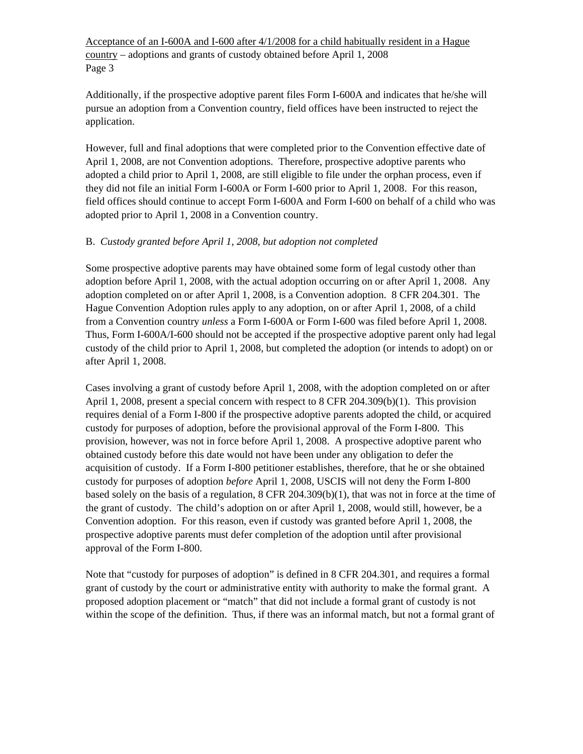Acceptance of an I-600A and I-600 after 4/1/2008 for a child habitually resident in a Hague country – adoptions and grants of custody obtained before April 1, 2008 Page 3

Additionally, if the prospective adoptive parent files Form I-600A and indicates that he/she will pursue an adoption from a Convention country, field offices have been instructed to reject the application.

However, full and final adoptions that were completed prior to the Convention effective date of April 1, 2008, are not Convention adoptions. Therefore, prospective adoptive parents who adopted a child prior to April 1, 2008, are still eligible to file under the orphan process, even if they did not file an initial Form I-600A or Form I-600 prior to April 1, 2008. For this reason, field offices should continue to accept Form I-600A and Form I-600 on behalf of a child who was adopted prior to April 1, 2008 in a Convention country.

#### B. *Custody granted before April 1, 2008, but adoption not completed*

Some prospective adoptive parents may have obtained some form of legal custody other than adoption before April 1, 2008, with the actual adoption occurring on or after April 1, 2008. Any adoption completed on or after April 1, 2008, is a Convention adoption. 8 CFR 204.301. The Hague Convention Adoption rules apply to any adoption, on or after April 1, 2008, of a child from a Convention country *unless* a Form I-600A or Form I-600 was filed before April 1, 2008. Thus, Form I-600A/I-600 should not be accepted if the prospective adoptive parent only had legal custody of the child prior to April 1, 2008, but completed the adoption (or intends to adopt) on or after April 1, 2008.

Cases involving a grant of custody before April 1, 2008, with the adoption completed on or after April 1, 2008, present a special concern with respect to 8 CFR 204.309(b)(1). This provision requires denial of a Form I-800 if the prospective adoptive parents adopted the child, or acquired custody for purposes of adoption, before the provisional approval of the Form I-800. This provision, however, was not in force before April 1, 2008. A prospective adoptive parent who obtained custody before this date would not have been under any obligation to defer the acquisition of custody. If a Form I-800 petitioner establishes, therefore, that he or she obtained custody for purposes of adoption *before* April 1, 2008, USCIS will not deny the Form I-800 based solely on the basis of a regulation, 8 CFR 204.309(b)(1), that was not in force at the time of the grant of custody. The child's adoption on or after April 1, 2008, would still, however, be a Convention adoption. For this reason, even if custody was granted before April 1, 2008, the prospective adoptive parents must defer completion of the adoption until after provisional approval of the Form I-800.

Note that "custody for purposes of adoption" is defined in 8 CFR 204.301, and requires a formal grant of custody by the court or administrative entity with authority to make the formal grant. A proposed adoption placement or "match" that did not include a formal grant of custody is not within the scope of the definition. Thus, if there was an informal match, but not a formal grant of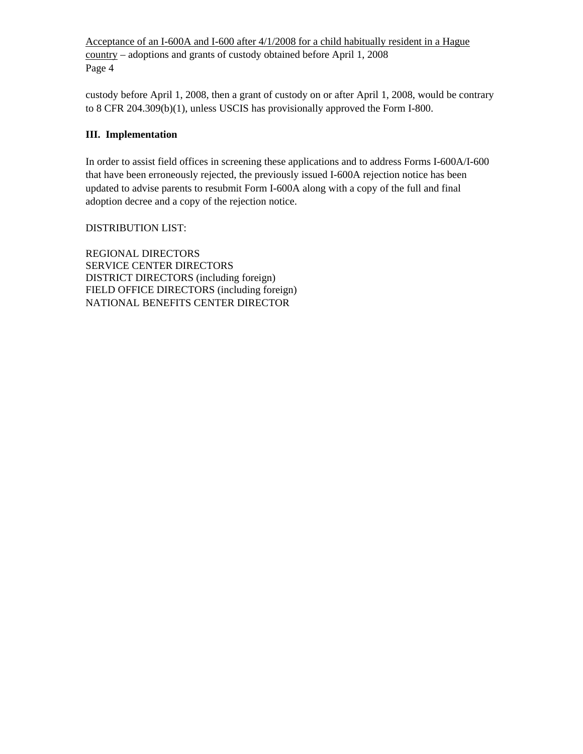Acceptance of an I-600A and I-600 after 4/1/2008 for a child habitually resident in a Hague country – adoptions and grants of custody obtained before April 1, 2008 Page 4

custody before April 1, 2008, then a grant of custody on or after April 1, 2008, would be contrary to 8 CFR 204.309(b)(1), unless USCIS has provisionally approved the Form I-800.

#### **III. Implementation**

In order to assist field offices in screening these applications and to address Forms I-600A/I-600 that have been erroneously rejected, the previously issued I-600A rejection notice has been updated to advise parents to resubmit Form I-600A along with a copy of the full and final adoption decree and a copy of the rejection notice.

#### DISTRIBUTION LIST:

REGIONAL DIRECTORS SERVICE CENTER DIRECTORS DISTRICT DIRECTORS (including foreign) FIELD OFFICE DIRECTORS (including foreign) NATIONAL BENEFITS CENTER DIRECTOR